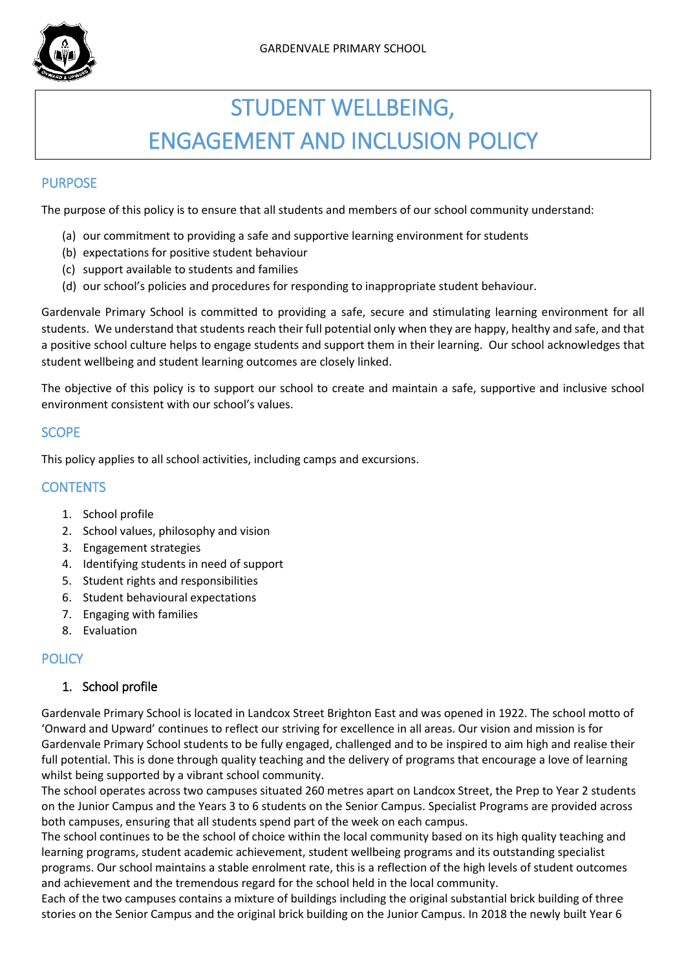

# STUDENT WELLBEING, ENGAGEMENT AND INCLUSION POLICY

# **PURPOSE**

The purpose of this policy is to ensure that all students and members of our school community understand:

- (a) our commitment to providing a safe and supportive learning environment for students
- (b) expectations for positive student behaviour
- (c) support available to students and families
- (d) our school's policies and procedures for responding to inappropriate student behaviour.

Gardenvale Primary School is committed to providing a safe, secure and stimulating learning environment for all students. We understand that students reach their full potential only when they are happy, healthy and safe, and that a positive school culture helps to engage students and support them in their learning. Our school acknowledges that student wellbeing and student learning outcomes are closely linked.

The objective of this policy is to support our school to create and maintain a safe, supportive and inclusive school environment consistent with our school's values.

# **SCOPE**

This policy applies to all school activities, including camps and excursions.

# **CONTENTS**

- 1. School profile
- 2. School values, philosophy and vision
- 3. Engagement strategies
- 4. Identifying students in need of support
- 5. Student rights and responsibilities
- 6. Student behavioural expectations
- 7. Engaging with families
- 8. Evaluation

# **POLICY**

## 1. School profile

Gardenvale Primary School is located in Landcox Street Brighton East and was opened in 1922. The school motto of 'Onward and Upward' continues to reflect our striving for excellence in all areas. Our vision and mission is for Gardenvale Primary School students to be fully engaged, challenged and to be inspired to aim high and realise their full potential. This is done through quality teaching and the delivery of programs that encourage a love of learning whilst being supported by a vibrant school community.

The school operates across two campuses situated 260 metres apart on Landcox Street, the Prep to Year 2 students on the Junior Campus and the Years 3 to 6 students on the Senior Campus. Specialist Programs are provided across both campuses, ensuring that all students spend part of the week on each campus.

The school continues to be the school of choice within the local community based on its high quality teaching and learning programs, student academic achievement, student wellbeing programs and its outstanding specialist programs. Our school maintains a stable enrolment rate, this is a reflection of the high levels of student outcomes and achievement and the tremendous regard for the school held in the local community.

Each of the two campuses contains a mixture of buildings including the original substantial brick building of three stories on the Senior Campus and the original brick building on the Junior Campus. In 2018 the newly built Year 6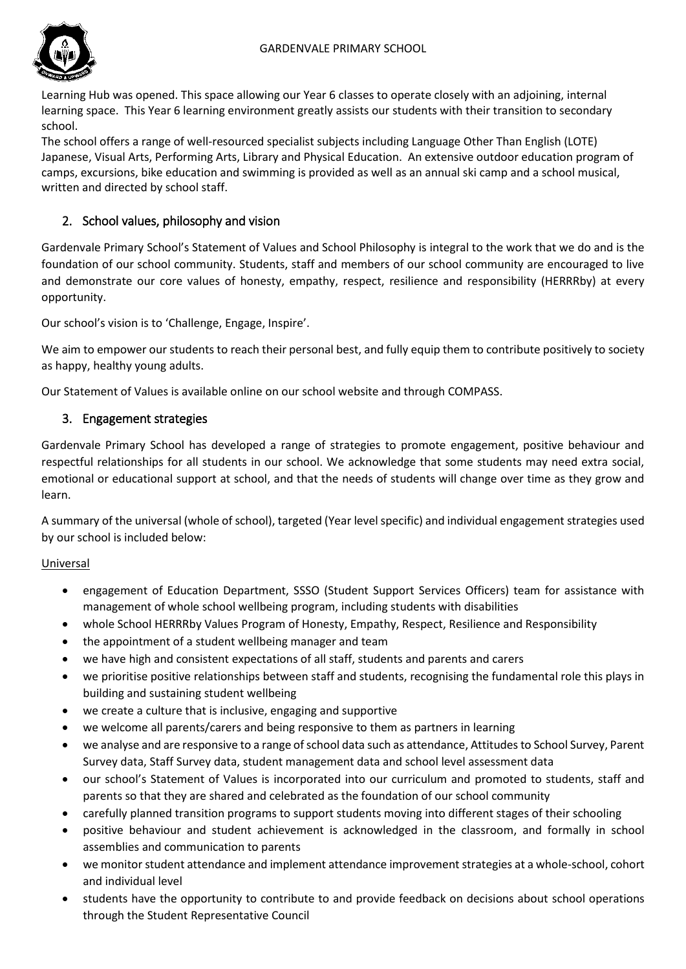

Learning Hub was opened. This space allowing our Year 6 classes to operate closely with an adjoining, internal learning space. This Year 6 learning environment greatly assists our students with their transition to secondary school.

The school offers a range of well-resourced specialist subjects including Language Other Than English (LOTE) Japanese, Visual Arts, Performing Arts, Library and Physical Education. An extensive outdoor education program of camps, excursions, bike education and swimming is provided as well as an annual ski camp and a school musical, written and directed by school staff.

# 2. School values, philosophy and vision

Gardenvale Primary School's Statement of Values and School Philosophy is integral to the work that we do and is the foundation of our school community. Students, staff and members of our school community are encouraged to live and demonstrate our core values of honesty, empathy, respect, resilience and responsibility (HERRRby) at every opportunity.

Our school's vision is to 'Challenge, Engage, Inspire'.

We aim to empower our students to reach their personal best, and fully equip them to contribute positively to society as happy, healthy young adults.

Our Statement of Values is available online on our school website and through COMPASS.

# 3. Engagement strategies

Gardenvale Primary School has developed a range of strategies to promote engagement, positive behaviour and respectful relationships for all students in our school. We acknowledge that some students may need extra social, emotional or educational support at school, and that the needs of students will change over time as they grow and learn.

A summary of the universal (whole of school), targeted (Year level specific) and individual engagement strategies used by our school is included below:

## Universal

- engagement of Education Department, SSSO (Student Support Services Officers) team for assistance with management of whole school wellbeing program, including students with disabilities
- whole School HERRRby Values Program of Honesty, Empathy, Respect, Resilience and Responsibility
- the appointment of a student wellbeing manager and team
- we have high and consistent expectations of all staff, students and parents and carers
- we prioritise positive relationships between staff and students, recognising the fundamental role this plays in building and sustaining student wellbeing
- we create a culture that is inclusive, engaging and supportive
- we welcome all parents/carers and being responsive to them as partners in learning
- we analyse and are responsive to a range of school data such as attendance, Attitudes to School Survey, Parent Survey data, Staff Survey data, student management data and school level assessment data
- our school's Statement of Values is incorporated into our curriculum and promoted to students, staff and parents so that they are shared and celebrated as the foundation of our school community
- carefully planned transition programs to support students moving into different stages of their schooling
- positive behaviour and student achievement is acknowledged in the classroom, and formally in school assemblies and communication to parents
- we monitor student attendance and implement attendance improvement strategies at a whole-school, cohort and individual level
- students have the opportunity to contribute to and provide feedback on decisions about school operations through the Student Representative Council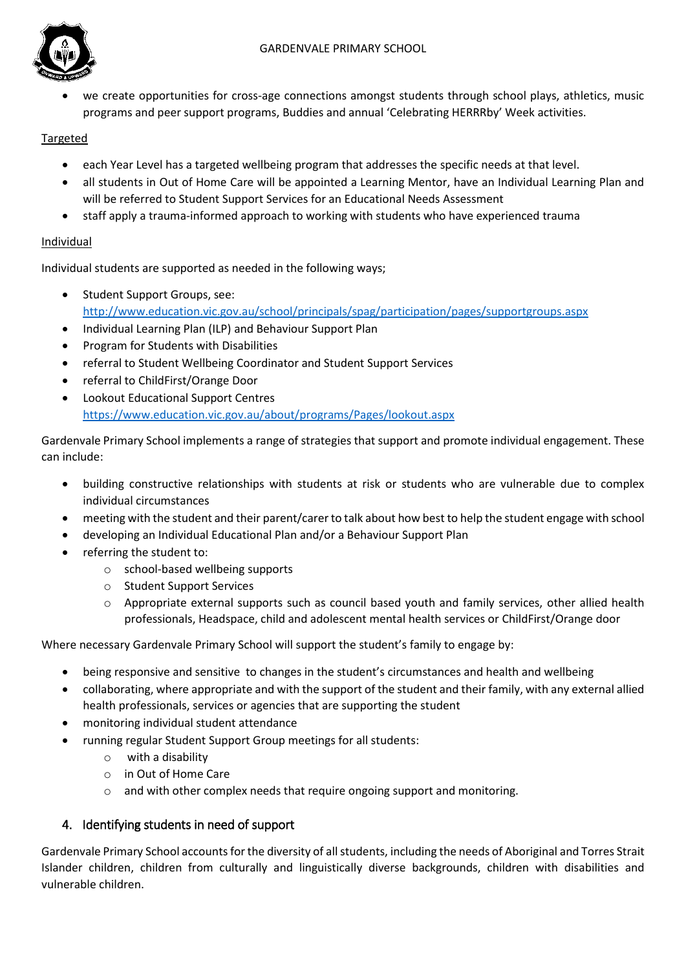

 we create opportunities for cross-age connections amongst students through school plays, athletics, music programs and peer support programs, Buddies and annual 'Celebrating HERRRby' Week activities.

# Targeted

- each Year Level has a targeted wellbeing program that addresses the specific needs at that level.
- all students in Out of Home Care will be appointed a Learning Mentor, have an Individual Learning Plan and will be referred to Student Support Services for an Educational Needs Assessment
- staff apply a trauma-informed approach to working with students who have experienced trauma

## **Individual**

Individual students are supported as needed in the following ways;

- Student Support Groups, see: <http://www.education.vic.gov.au/school/principals/spag/participation/pages/supportgroups.aspx>
- Individual Learning Plan (ILP) and Behaviour Support Plan
- Program for Students with Disabilities
- referral to Student Wellbeing Coordinator and Student Support Services
- referral to ChildFirst/Orange Door
- Lookout Educational Support Centres <https://www.education.vic.gov.au/about/programs/Pages/lookout.aspx>

Gardenvale Primary School implements a range of strategies that support and promote individual engagement. These can include:

- building constructive relationships with students at risk or students who are vulnerable due to complex individual circumstances
- meeting with the student and their parent/carer to talk about how best to help the student engage with school
- developing an Individual Educational Plan and/or a Behaviour Support Plan
- referring the student to:
	- o school-based wellbeing supports
	- o Student Support Services
	- o Appropriate external supports such as council based youth and family services, other allied health professionals, Headspace, child and adolescent mental health services or ChildFirst/Orange door

Where necessary Gardenvale Primary School will support the student's family to engage by:

- being responsive and sensitive to changes in the student's circumstances and health and wellbeing
- collaborating, where appropriate and with the support of the student and their family, with any external allied health professionals, services or agencies that are supporting the student
- monitoring individual student attendance
- running regular Student Support Group meetings for all students:
	- o with a disability
	- o in Out of Home Care
	- o and with other complex needs that require ongoing support and monitoring.

# 4. Identifying students in need of support

Gardenvale Primary School accounts for the diversity of all students, including the needs of Aboriginal and Torres Strait Islander children, children from culturally and linguistically diverse backgrounds, children with disabilities and vulnerable children.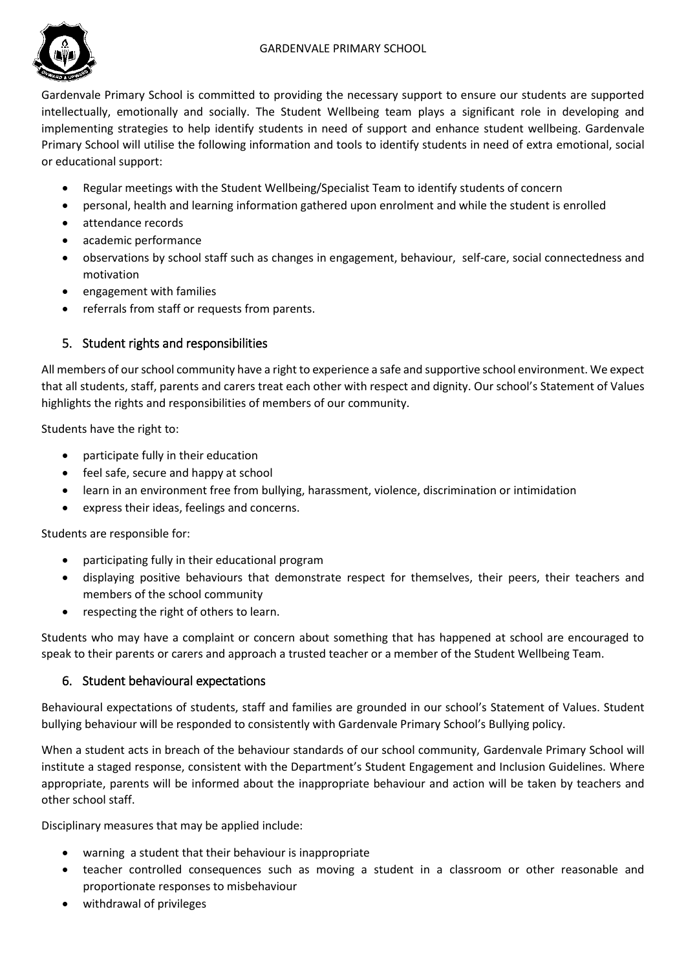## GARDENVALE PRIMARY SCHOOL



Gardenvale Primary School is committed to providing the necessary support to ensure our students are supported intellectually, emotionally and socially. The Student Wellbeing team plays a significant role in developing and implementing strategies to help identify students in need of support and enhance student wellbeing. Gardenvale Primary School will utilise the following information and tools to identify students in need of extra emotional, social or educational support:

- Regular meetings with the Student Wellbeing/Specialist Team to identify students of concern
- personal, health and learning information gathered upon enrolment and while the student is enrolled
- attendance records
- academic performance
- observations by school staff such as changes in engagement, behaviour, self-care, social connectedness and motivation
- engagement with families
- referrals from staff or requests from parents.

## 5. Student rights and responsibilities

All members of our school community have a right to experience a safe and supportive school environment. We expect that all students, staff, parents and carers treat each other with respect and dignity. Our school's Statement of Values highlights the rights and responsibilities of members of our community.

Students have the right to:

- participate fully in their education
- feel safe, secure and happy at school
- learn in an environment free from bullying, harassment, violence, discrimination or intimidation
- express their ideas, feelings and concerns.

Students are responsible for:

- participating fully in their educational program
- displaying positive behaviours that demonstrate respect for themselves, their peers, their teachers and members of the school community
- respecting the right of others to learn.

Students who may have a complaint or concern about something that has happened at school are encouraged to speak to their parents or carers and approach a trusted teacher or a member of the Student Wellbeing Team.

## 6. Student behavioural expectations

Behavioural expectations of students, staff and families are grounded in our school's Statement of Values. Student bullying behaviour will be responded to consistently with Gardenvale Primary School's Bullying policy.

When a student acts in breach of the behaviour standards of our school community, Gardenvale Primary School will institute a staged response, consistent with the Department's Student Engagement and Inclusion Guidelines. Where appropriate, parents will be informed about the inappropriate behaviour and action will be taken by teachers and other school staff.

Disciplinary measures that may be applied include:

- warning a student that their behaviour is inappropriate
- teacher controlled consequences such as moving a student in a classroom or other reasonable and proportionate responses to misbehaviour
- withdrawal of privileges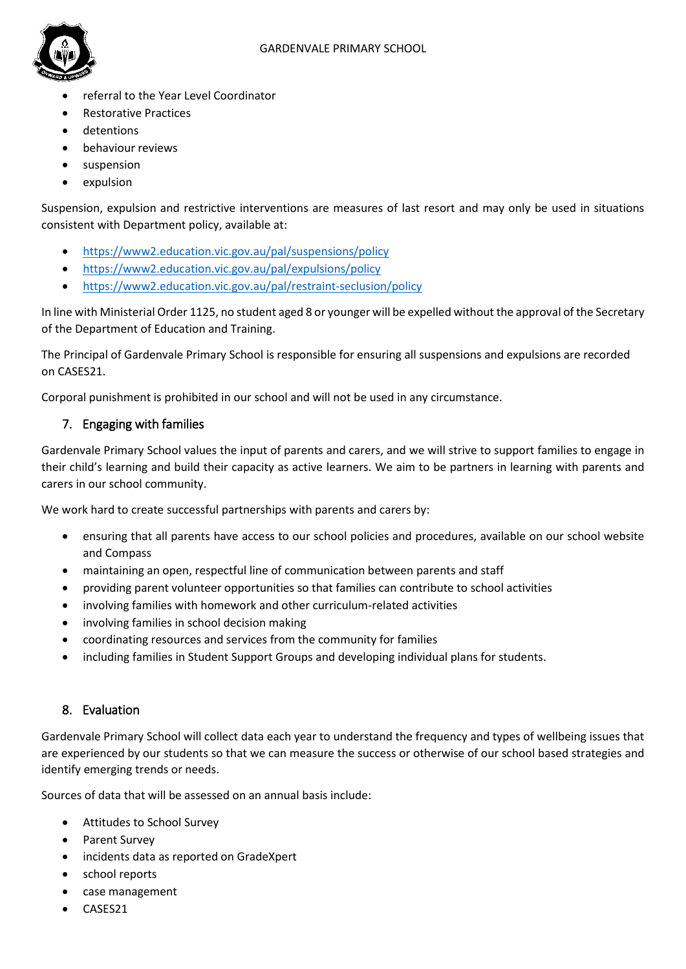

- referral to the Year Level Coordinator
- Restorative Practices
- detentions
- behaviour reviews
- suspension
- expulsion

Suspension, expulsion and restrictive interventions are measures of last resort and may only be used in situations consistent with Department policy, available at:

- <https://www2.education.vic.gov.au/pal/suspensions/policy>
- <https://www2.education.vic.gov.au/pal/expulsions/policy>
- <https://www2.education.vic.gov.au/pal/restraint-seclusion/policy>

In line with Ministerial Order 1125, no student aged 8 or younger will be expelled without the approval of the Secretary of the Department of Education and Training.

The Principal of Gardenvale Primary School is responsible for ensuring all suspensions and expulsions are recorded on CASES21.

Corporal punishment is prohibited in our school and will not be used in any circumstance.

## 7. Engaging with families

Gardenvale Primary School values the input of parents and carers, and we will strive to support families to engage in their child's learning and build their capacity as active learners. We aim to be partners in learning with parents and carers in our school community.

We work hard to create successful partnerships with parents and carers by:

- ensuring that all parents have access to our school policies and procedures, available on our school website and Compass
- maintaining an open, respectful line of communication between parents and staff
- providing parent volunteer opportunities so that families can contribute to school activities
- involving families with homework and other curriculum-related activities
- involving families in school decision making
- coordinating resources and services from the community for families
- including families in Student Support Groups and developing individual plans for students.

## 8. Evaluation

Gardenvale Primary School will collect data each year to understand the frequency and types of wellbeing issues that are experienced by our students so that we can measure the success or otherwise of our school based strategies and identify emerging trends or needs.

Sources of data that will be assessed on an annual basis include:

- Attitudes to School Survey
- Parent Survey
- incidents data as reported on GradeXpert
- school reports
- case management
- CASES21